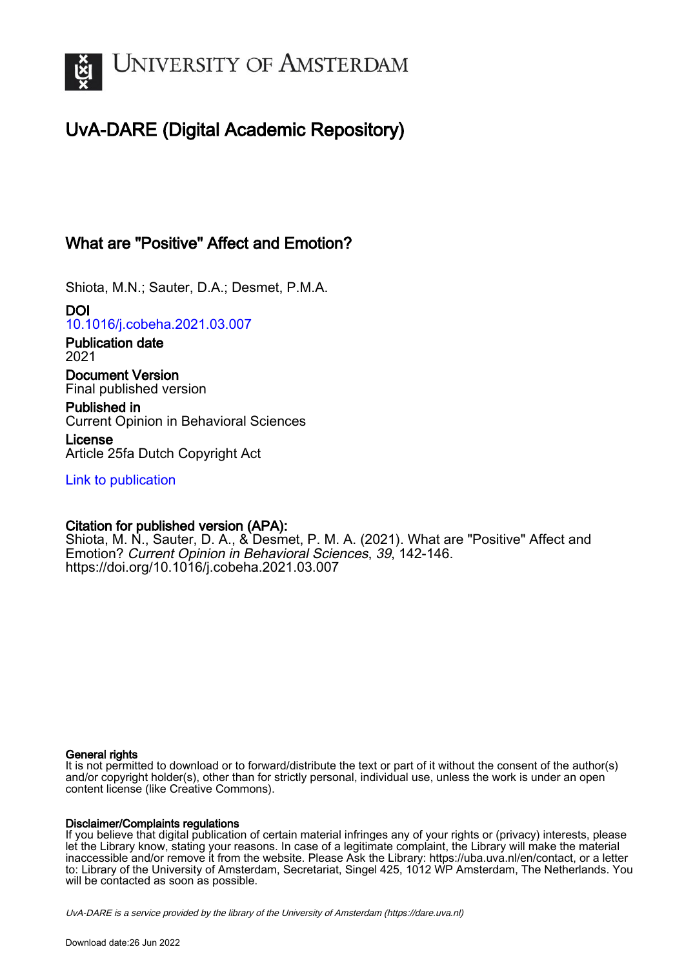

# UvA-DARE (Digital Academic Repository)

## What are "Positive" Affect and Emotion?

Shiota, M.N.; Sauter, D.A.; Desmet, P.M.A.

DOI [10.1016/j.cobeha.2021.03.007](https://doi.org/10.1016/j.cobeha.2021.03.007)

Publication date 2021

Document Version Final published version

Published in Current Opinion in Behavioral Sciences

License Article 25fa Dutch Copyright Act

[Link to publication](https://dare.uva.nl/personal/pure/en/publications/what-are-positive-affect-and-emotion(ec1f2d3a-2c9e-4f30-89cb-528a5b541e7c).html)

## Citation for published version (APA):

Shiota, M. N., Sauter, D. A., & Desmet, P. M. A. (2021). What are "Positive" Affect and Emotion? Current Opinion in Behavioral Sciences, 39, 142-146. <https://doi.org/10.1016/j.cobeha.2021.03.007>

### General rights

It is not permitted to download or to forward/distribute the text or part of it without the consent of the author(s) and/or copyright holder(s), other than for strictly personal, individual use, unless the work is under an open content license (like Creative Commons).

### Disclaimer/Complaints regulations

If you believe that digital publication of certain material infringes any of your rights or (privacy) interests, please let the Library know, stating your reasons. In case of a legitimate complaint, the Library will make the material inaccessible and/or remove it from the website. Please Ask the Library: https://uba.uva.nl/en/contact, or a letter to: Library of the University of Amsterdam, Secretariat, Singel 425, 1012 WP Amsterdam, The Netherlands. You will be contacted as soon as possible.

UvA-DARE is a service provided by the library of the University of Amsterdam (http*s*://dare.uva.nl)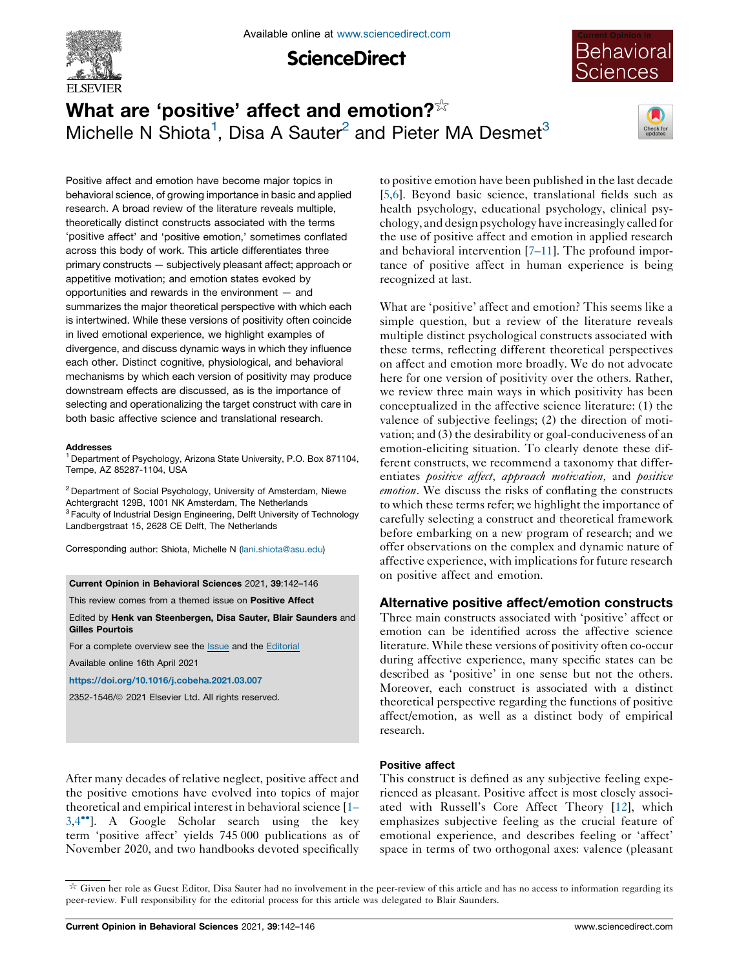

**ScienceDirect** 



# What are 'positive' affect and emotion? $\frac{1}{x}$ Michelle N Shiota<sup>1</sup>, Disa A Sauter<sup>2</sup> and Pieter MA Desmet<sup>3</sup>



Positive affect and emotion have become major topics in behavioral science, of growing importance in basic and applied research. A broad review of the literature reveals multiple, theoretically distinct constructs associated with the terms 'positive affect' and 'positive emotion,' sometimes conflated across this body of work. This article differentiates three primary constructs — subjectively pleasant affect; approach or appetitive motivation; and emotion states evoked by opportunities and rewards in the environment — and summarizes the major theoretical perspective with which each is intertwined. While these versions of positivity often coincide in lived emotional experience, we highlight examples of divergence, and discuss dynamic ways in which they influence each other. Distinct cognitive, physiological, and behavioral mechanisms by which each version of positivity may produce downstream effects are discussed, as is the importance of selecting and operationalizing the target construct with care in both basic affective science and translational research.

#### **Addresses**

<sup>1</sup> Department of Psychology, Arizona State University, P.O. Box 871104, Tempe, AZ 85287-1104, USA

<sup>2</sup> Department of Social Psychology, University of Amsterdam, Niewe Achtergracht 129B, 1001 NK Amsterdam, The Netherlands <sup>3</sup> Faculty of Industrial Design Engineering, Delft University of Technology Landbergstraat 15, 2628 CE Delft, The Netherlands

Corresponding author: Shiota, Michelle N [\(lani.shiota@asu.edu](mailto:lani.shiota@asu.edu))

Current Opinion in Behavioral Sciences 2021, 39:142–146

This review comes from a themed issue on Positive Affect

Edited by Henk van Steenbergen, Disa Sauter, Blair Saunders and Gilles Pourtois

For a complete overview see the **[Issue](http://www.sciencedirect.com/science/journal/23521546/39)** and the [Editorial](https://doi.org/10.1016/j.cobeha.2021.06.001)

Available online 16th April 2021

<https://doi.org/10.1016/j.cobeha.2021.03.007>

2352-1546/ã 2021 Elsevier Ltd. All rights reserved.

After many decades of relative neglect, positive affect and the positive emotions have evolved into topics of major theoretical and empirical interest in behavioral science [\[1–](#page-4-0)  $3,4$  $3,4$ <sup>\*\*</sup>]. A Google [Scholar](#page-4-0) search using the key term 'positive affect' yields 745 000 publications as of November 2020, and two handbooks devoted specifically

to positive emotion have been published in the last decade [\[5](#page-4-0),[6\]](#page-4-0). Beyond basic science, translational fields such as health psychology, educational psychology, clinical psychology, and designpsychology have increasingly called for the use of positive affect and emotion in applied research and behavioral intervention [\[7–11\]](#page-4-0). The profound importance of positive affect in human experience is being recognized at last.

What are 'positive' affect and emotion? This seems like a simple question, but a review of the literature reveals multiple distinct psychological constructs associated with these terms, reflecting different theoretical perspectives on affect and emotion more broadly. We do not advocate here for one version of positivity over the others. Rather, we review three main ways in which positivity has been conceptualized in the affective science literature: (1) the valence of subjective feelings; (2) the direction of motivation; and (3) the desirability or goal-conduciveness of an emotion-eliciting situation. To clearly denote these different constructs, we recommend a taxonomy that differentiates *positive affect*, *approach motivation*, and *positive* emotion. We discuss the risks of conflating the constructs to which these terms refer; we highlight the importance of carefully selecting a construct and theoretical framework before embarking on a new program of research; and we offer observations on the complex and dynamic nature of affective experience, with implications for future research on positive affect and emotion.

## Alternative positive affect/emotion constructs

Three main constructs associated with 'positive' affect or emotion can be identified across the affective science literature. While these versions of positivity often co-occur during affective experience, many specific states can be described as 'positive' in one sense but not the others. Moreover, each construct is associated with a distinct theoretical perspective regarding the functions of positive affect/emotion, as well as a distinct body of empirical research.

## Positive affect

This construct is defined as any subjective feeling experienced as pleasant. Positive affect is most closely associated with Russell's Core Affect Theory [[12\]](#page-4-0), which emphasizes subjective feeling as the crucial feature of emotional experience, and describes feeling or 'affect' space in terms of two orthogonal axes: valence (pleasant

Given her role as Guest Editor, Disa Sauter had no involvement in the peer-review of this article and has no access to information regarding its peer-review. Full responsibility for the editorial process for this article was delegated to Blair Saunders.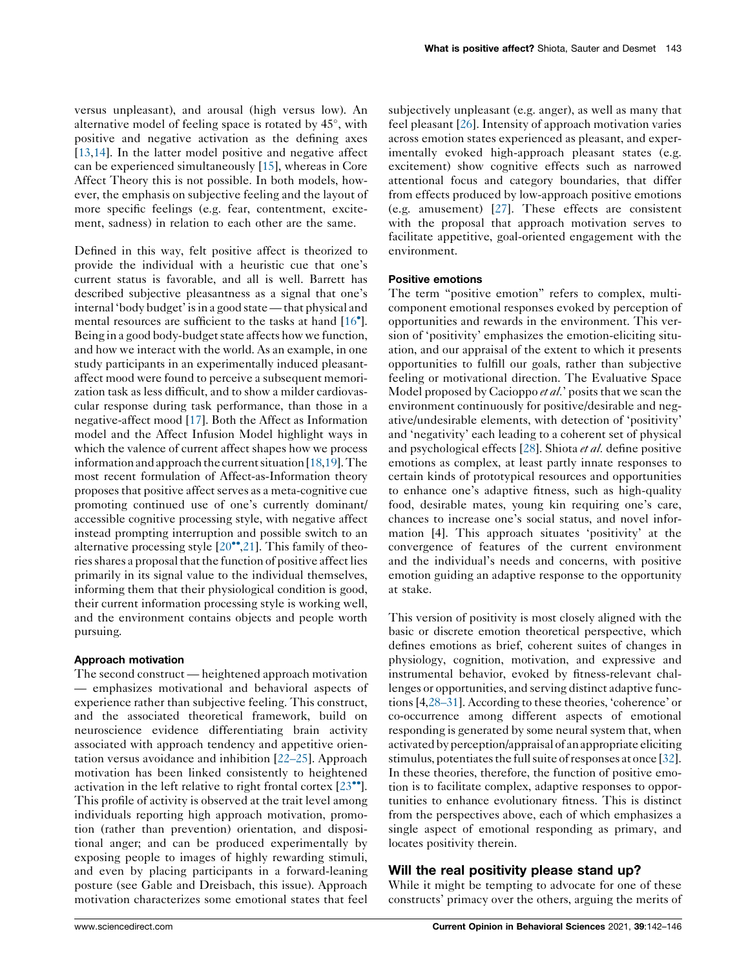versus unpleasant), and arousal (high versus low). An alternative model of feeling space is rotated by  $45^{\circ}$ , with positive and negative activation as the defining axes [\[13](#page-4-0),[14\]](#page-4-0). In the latter model positive and negative affect can be experienced simultaneously [[15\]](#page-4-0), whereas in Core Affect Theory this is not possible. In both models, however, the emphasis on subjective feeling and the layout of more specific feelings (e.g. fear, contentment, excitement, sadness) in relation to each other are the same.

Defined in this way, felt positive affect is theorized to provide the individual with a heuristic cue that one's current status is favorable, and all is well. Barrett has described subjective pleasantness as a signal that one's internal 'body budget' isin a good state—that physical and mental resources are sufficient to the tasks at hand [\[16](#page-4-0) ]. Being in a good body-budget state affects how we function, and how we interact with the world. As an example, in one study participants in an experimentally induced pleasantaffect mood were found to perceive a subsequent memorization task as less difficult, and to show a milder cardiovascular response during task performance, than those in a negative-affect mood [\[17](#page-4-0)]. Both the Affect as Information model and the Affect Infusion Model highlight ways in which the valence of current affect shapes how we process information and approach the current situation  $[18,19]$  $[18,19]$ . The most recent formulation of Affect-as-Information theory proposes that positive affect serves as a meta-cognitive cue promoting continued use of one's currently dominant/ accessible cognitive processing style, with negative affect instead prompting interruption and possible switch to an alternative processing style  $[20^{\bullet\bullet}, 21]$  $[20^{\bullet\bullet}, 21]$  $[20^{\bullet\bullet}, 21]$ . This family of theories shares a proposal that the function of positive affect lies primarily in its signal value to the individual themselves, informing them that their physiological condition is good, their current information processing style is working well, and the environment contains objects and people worth pursuing.

#### Approach motivation

The second construct — heightened approach motivation — emphasizes motivational and behavioral aspects of experience rather than subjective feeling. This construct, and the associated theoretical framework, build on neuroscience evidence differentiating brain activity associated with approach tendency and appetitive orientation versus avoidance and inhibition [\[22–25](#page-4-0)]. Approach motivation has been linked consistently to heightened activation in the left relative to right frontal cortex  $[23\bullet]$  $[23\bullet]$ . This profile of activity is observed at the trait level among individuals reporting high approach motivation, promotion (rather than prevention) orientation, and dispositional anger; and can be produced experimentally by exposing people to images of highly rewarding stimuli, and even by placing participants in a forward-leaning posture (see Gable and Dreisbach, this issue). Approach motivation characterizes some emotional states that feel subjectively unpleasant (e.g. anger), as well as many that feel pleasant [[26\]](#page-5-0). Intensity of approach motivation varies across emotion states experienced as pleasant, and experimentally evoked high-approach pleasant states (e.g. excitement) show cognitive effects such as narrowed attentional focus and category boundaries, that differ from effects produced by low-approach positive emotions (e.g. amusement) [[27\]](#page-5-0). These effects are consistent with the proposal that approach motivation serves to facilitate appetitive, goal-oriented engagement with the environment.

#### Positive emotions

The term "positive emotion" refers to complex, multicomponent emotional responses evoked by perception of opportunities and rewards in the environment. This version of 'positivity' emphasizes the emotion-eliciting situation, and our appraisal of the extent to which it presents opportunities to fulfill our goals, rather than subjective feeling or motivational direction. The Evaluative Space Model proposed by Cacioppo et al.' posits that we scan the environment continuously for positive/desirable and negative/undesirable elements, with detection of 'positivity' and 'negativity' each leading to a coherent set of physical and psychological effects [[28\]](#page-5-0). Shiota *et al*. define positive emotions as complex, at least partly innate responses to certain kinds of prototypical resources and opportunities to enhance one's adaptive fitness, such as high-quality food, desirable mates, young kin requiring one's care, chances to increase one's social status, and novel information [4]. This approach situates 'positivity' at the convergence of features of the current environment and the individual's needs and concerns, with positive emotion guiding an adaptive response to the opportunity at stake.

This version of positivity is most closely aligned with the basic or discrete emotion theoretical perspective, which defines emotions as brief, coherent suites of changes in physiology, cognition, motivation, and expressive and instrumental behavior, evoked by fitness-relevant challenges or opportunities, and serving distinct adaptive functions[4[,28–31\]](#page-5-0). According to these theories, 'coherence' or co-occurrence among different aspects of emotional responding is generated by some neural system that, when activated byperception/appraisal of an appropriate eliciting stimulus, potentiates the full suite of responses at once [[32\]](#page-5-0). In these theories, therefore, the function of positive emotion is to facilitate complex, adaptive responses to opportunities to enhance evolutionary fitness. This is distinct from the perspectives above, each of which emphasizes a single aspect of emotional responding as primary, and locates positivity therein.

## Will the real positivity please stand up?

While it might be tempting to advocate for one of these constructs' primacy over the others, arguing the merits of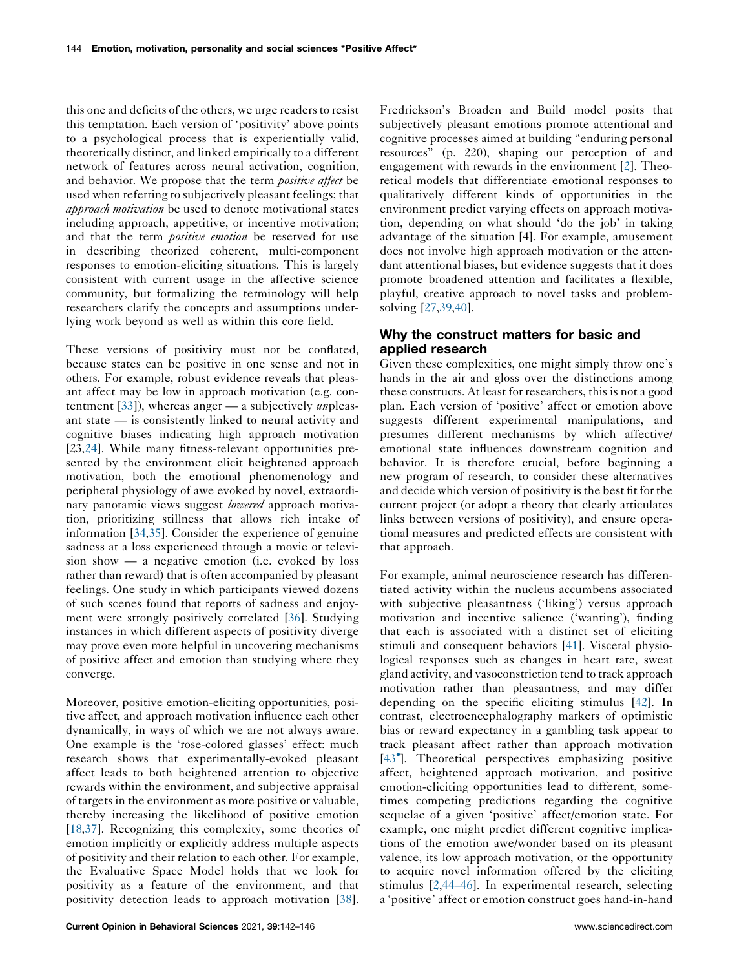this one and deficits of the others, we urge readers to resist this temptation. Each version of 'positivity' above points to a psychological process that is experientially valid, theoretically distinct, and linked empirically to a different network of features across neural activation, cognition, and behavior. We propose that the term *positive affect* be used when referring to subjectively pleasant feelings; that approach motivation be used to denote motivational states including approach, appetitive, or incentive motivation; and that the term *positive emotion* be reserved for use in describing theorized coherent, multi-component responses to emotion-eliciting situations. This is largely consistent with current usage in the affective science community, but formalizing the terminology will help researchers clarify the concepts and assumptions underlying work beyond as well as within this core field.

These versions of positivity must not be conflated, because states can be positive in one sense and not in others. For example, robust evidence reveals that pleasant affect may be low in approach motivation (e.g. contentment  $[33]$  $[33]$ ), whereas anger — a subjectively *un* pleasant state — is consistently linked to neural activity and cognitive biases indicating high approach motivation [23,[24\]](#page-5-0). While many fitness-relevant opportunities presented by the environment elicit heightened approach motivation, both the emotional phenomenology and peripheral physiology of awe evoked by novel, extraordinary panoramic views suggest lowered approach motivation, prioritizing stillness that allows rich intake of information [[34,35](#page-5-0)]. Consider the experience of genuine sadness at a loss experienced through a movie or television show — a negative emotion (i.e. evoked by loss rather than reward) that is often accompanied by pleasant feelings. One study in which participants viewed dozens of such scenes found that reports of sadness and enjoyment were strongly positively correlated [\[36](#page-5-0)]. Studying instances in which different aspects of positivity diverge may prove even more helpful in uncovering mechanisms of positive affect and emotion than studying where they converge.

Moreover, positive emotion-eliciting opportunities, positive affect, and approach motivation influence each other dynamically, in ways of which we are not always aware. One example is the 'rose-colored glasses' effect: much research shows that experimentally-evoked pleasant affect leads to both heightened attention to objective rewards within the environment, and subjective appraisal of targets in the environment as more positive or valuable, thereby increasing the likelihood of positive emotion [\[18](#page-4-0),[37\]](#page-5-0). Recognizing this complexity, some theories of emotion implicitly or explicitly address multiple aspects of positivity and their relation to each other. For example, the Evaluative Space Model holds that we look for positivity as a feature of the environment, and that positivity detection leads to approach motivation [\[38](#page-5-0)].

Fredrickson's Broaden and Build model posits that subjectively pleasant emotions promote attentional and cognitive processes aimed at building "enduring personal resources" (p. 220), shaping our perception of and engagement with rewards in the environment [\[2](#page-4-0)]. Theoretical models that differentiate emotional responses to qualitatively different kinds of opportunities in the environment predict varying effects on approach motivation, depending on what should 'do the job' in taking advantage of the situation [4]. For example, amusement does not involve high approach motivation or the attendant attentional biases, but evidence suggests that it does promote broadened attention and facilitates a flexible, playful, creative approach to novel tasks and problemsolving [[27,39](#page-5-0),[40\]](#page-5-0).

## Why the construct matters for basic and applied research

Given these complexities, one might simply throw one's hands in the air and gloss over the distinctions among these constructs. At least for researchers, this is not a good plan. Each version of 'positive' affect or emotion above suggests different experimental manipulations, and presumes different mechanisms by which affective/ emotional state influences downstream cognition and behavior. It is therefore crucial, before beginning a new program of research, to consider these alternatives and decide which version of positivity isthe best fit for the current project (or adopt a theory that clearly articulates links between versions of positivity), and ensure operational measures and predicted effects are consistent with that approach.

For example, animal neuroscience research has differentiated activity within the nucleus accumbens associated with subjective pleasantness ('liking') versus approach motivation and incentive salience ('wanting'), finding that each is associated with a distinct set of eliciting stimuli and consequent behaviors [[41\]](#page-5-0). Visceral physiological responses such as changes in heart rate, sweat gland activity, and vasoconstriction tend to track approach motivation rather than pleasantness, and may differ depending on the specific eliciting stimulus [\[42](#page-5-0)]. In contrast, electroencephalography markers of optimistic bias or reward expectancy in a gambling task appear to track pleasant affect rather than approach motivation [\[43](#page-5-0) ]. Theoretical perspectives emphasizing positive affect, heightened approach motivation, and positive emotion-eliciting opportunities lead to different, sometimes competing predictions regarding the cognitive sequelae of a given 'positive' affect/emotion state. For example, one might predict different cognitive implications of the emotion awe/wonder based on its pleasant valence, its low approach motivation, or the opportunity to acquire novel information offered by the eliciting stimulus [[2](#page-4-0)[,44–46](#page-5-0)]. In experimental research, selecting a 'positive' affect or emotion construct goes hand-in-hand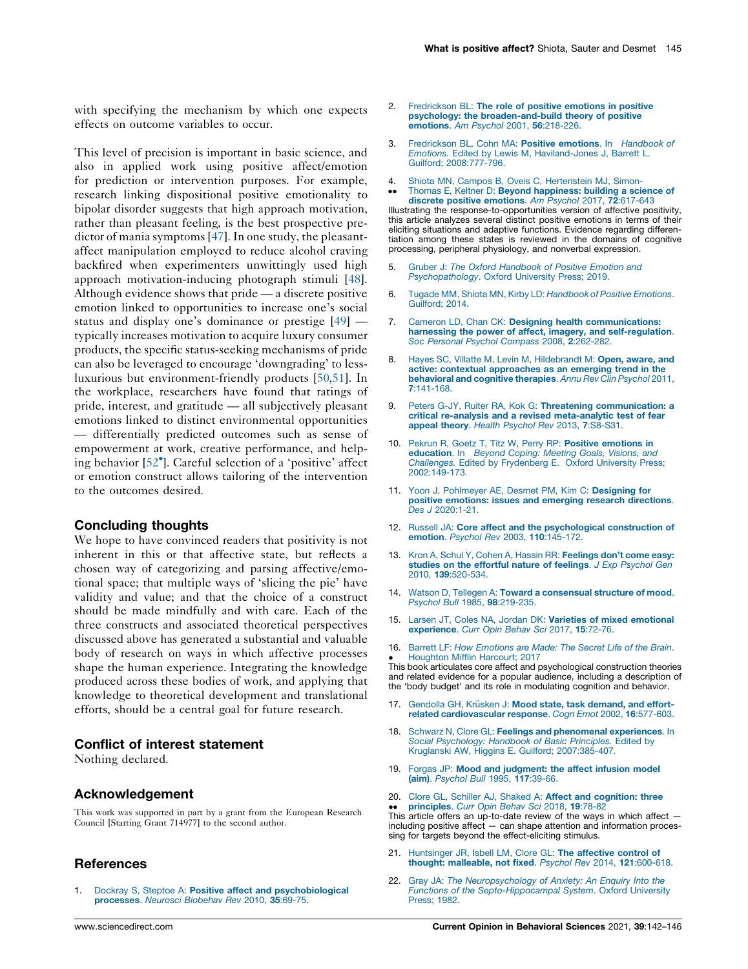<span id="page-4-0"></span>with specifying the mechanism by which one expects effects on outcome variables to occur.

This level of precision is important in basic science, and also in applied work using positive affect/emotion for prediction or intervention purposes. For example, research linking dispositional positive emotionality to bipolar disorder suggests that high approach motivation, rather than pleasant feeling, is the best prospective pre-dictor of mania symptoms [\[47](#page-5-0)]. In one study, the pleasantaffect manipulation employed to reduce alcohol craving backfired when experimenters unwittingly used high approach motivation-inducing photograph stimuli [\[48](#page-5-0)]. Although evidence shows that pride — a discrete positive emotion linked to opportunities to increase one's social status and display one's dominance or prestige [[49\]](#page-5-0) typically increases motivation to acquire luxury consumer products, the specific status-seeking mechanisms of pride can also be leveraged to encourage 'downgrading' to lessluxurious but environment-friendly products [[50,51](#page-5-0)]. In the workplace, researchers have found that ratings of pride, interest, and gratitude — all subjectively pleasant emotions linked to distinct environmental opportunities — differentially predicted outcomes such as sense of empowerment at work, creative performance, and helping behavior [[52](#page-5-0) ]. Careful selection of a 'positive' affect or emotion construct allows tailoring of the intervention to the outcomes desired.

#### Concluding thoughts

We hope to have convinced readers that positivity is not inherent in this or that affective state, but reflects a chosen way of categorizing and parsing affective/emotional space; that multiple ways of 'slicing the pie' have validity and value; and that the choice of a construct should be made mindfully and with care. Each of the three constructs and associated theoretical perspectives discussed above has generated a substantial and valuable body of research on ways in which affective processes shape the human experience. Integrating the knowledge produced across these bodies of work, and applying that knowledge to theoretical development and translational efforts, should be a central goal for future research.

## Conflict of interest statement

Nothing declared.

#### Acknowledgement

This work was supported in part by a grant from the European Research Council [Starting Grant 714977] to the second author.

### **References**

Dockray S, Steptoe A: Positive affect and [psychobiological](http://refhub.elsevier.com/S2352-1546(21)00055-3/sbref0005) [processes](http://refhub.elsevier.com/S2352-1546(21)00055-3/sbref0005). Neurosci Biobehav Rev 2010, 35:69-75.

- [Fredrickson](http://refhub.elsevier.com/S2352-1546(21)00055-3/sbref0010) BL: The role of positive emotions in positive psychology: the [broaden-and-build](http://refhub.elsevier.com/S2352-1546(21)00055-3/sbref0010) theory of positive [emotions](http://refhub.elsevier.com/S2352-1546(21)00055-3/sbref0010). Am Psychol 2001, 56:218-226.
- 3. [Fredrickson](http://refhub.elsevier.com/S2352-1546(21)00055-3/sbref0015) BL, Cohn MA: Positive emotions. In Handbook of Emotions. Edited by Lewis M, [Haviland-Jones](http://refhub.elsevier.com/S2352-1546(21)00055-3/sbref0015) J, Barrett L. Guilford; [2008:777-796.](http://refhub.elsevier.com/S2352-1546(21)00055-3/sbref0015)
- 4. Shiota MN, Campos B, Oveis C, [Hertenstein](http://refhub.elsevier.com/S2352-1546(21)00055-3/sbref0020) MJ, Simon-
- $\ddot{\phantom{0}}$ Thomas E, Keltner D: Beyond [happiness:](http://refhub.elsevier.com/S2352-1546(21)00055-3/sbref0020) building a science of discrete positive [emotions](http://refhub.elsevier.com/S2352-1546(21)00055-3/sbref0020). Am Psychol 2017, 72:617-643 Illustrating the response-to-opportunities version of affective positivity, this article analyzes several distinct positive emotions in terms of their eliciting situations and adaptive functions. Evidence regarding differentiation among these states is reviewed in the domains of cognitive processing, peripheral physiology, and nonverbal expression.
- 5. Gruber J: The Oxford [Handbook](http://refhub.elsevier.com/S2352-1546(21)00055-3/sbref0025) of Positive Emotion and [Psychopathology](http://refhub.elsevier.com/S2352-1546(21)00055-3/sbref0025). Oxford University Press; 2019.
- 6. Tugade MM, Shiota MN, Kirby LD: [Handbook](http://refhub.elsevier.com/S2352-1546(21)00055-3/sbref0030) of Positive Emotions. [Guilford;](http://refhub.elsevier.com/S2352-1546(21)00055-3/sbref0030) 2014.
- 7. Cameron LD, Chan CK: Designing health [communications:](http://refhub.elsevier.com/S2352-1546(21)00055-3/sbref0035) harnessing the power of affect, imagery, and [self-regulation](http://refhub.elsevier.com/S2352-1546(21)00055-3/sbref0035). Soc Personal Psychol [Compass](http://refhub.elsevier.com/S2352-1546(21)00055-3/sbref0035) 2008, 2:262-282.
- 8. Hayes SC, Villatte M, Levin M, [Hildebrandt](http://refhub.elsevier.com/S2352-1546(21)00055-3/sbref0040) M: Open, aware, and active: contextual [approaches](http://refhub.elsevier.com/S2352-1546(21)00055-3/sbref0040) as an emerging trend in the [behavioral](http://refhub.elsevier.com/S2352-1546(21)00055-3/sbref0040) and cognitive therapies. Annu Rev Clin Psychol 2011, 7[:141-168.](http://refhub.elsevier.com/S2352-1546(21)00055-3/sbref0040)
- 9. Peters G-JY, Ruiter RA, Kok G: Threatening [communication:](http://refhub.elsevier.com/S2352-1546(21)00055-3/sbref0045) a critical re-analysis and a revised [meta-analytic](http://refhub.elsevier.com/S2352-1546(21)00055-3/sbref0045) test of fear appeal theory. Health Psychol Rev 2013, 7[:S8-S31.](http://refhub.elsevier.com/S2352-1546(21)00055-3/sbref0045)
- 10. Pekrun R, Goetz T, Titz W, Perry RP: Positive [emotions](http://refhub.elsevier.com/S2352-1546(21)00055-3/sbref0050) in [education](http://refhub.elsevier.com/S2352-1546(21)00055-3/sbref0050). In Beyond Coping: Meeting Goals, Visions, and [Challenges.](http://refhub.elsevier.com/S2352-1546(21)00055-3/sbref0050) Edited by Frydenberg E. Oxford University Press; [2002:149-173.](http://refhub.elsevier.com/S2352-1546(21)00055-3/sbref0050)
- 11. Yoon J, [Pohlmeyer](http://refhub.elsevier.com/S2352-1546(21)00055-3/sbref0055) AE, Desmet PM, Kim C: Designing for positive emotions: issues and emerging research [directions](http://refhub.elsevier.com/S2352-1546(21)00055-3/sbref0055). Des J [2020:1-21.](http://refhub.elsevier.com/S2352-1546(21)00055-3/sbref0055)
- 12. Russell JA: Core affect and the [psychological](http://refhub.elsevier.com/S2352-1546(21)00055-3/sbref0060) construction of emotion. Psychol Rev 2003, 110[:145-172.](http://refhub.elsevier.com/S2352-1546(21)00055-3/sbref0060)
- 13. Kron A, Schul Y, Cohen A, Hassin RR: [Feelings](http://refhub.elsevier.com/S2352-1546(21)00055-3/sbref0065) don't come easy: studies on the [effortful](http://refhub.elsevier.com/S2352-1546(21)00055-3/sbref0065) nature of feelings. J Exp Psychol Gen 2010, 139[:520-534.](http://refhub.elsevier.com/S2352-1546(21)00055-3/sbref0065)
- 14. Watson D, Tellegen A: Toward a [consensual](http://refhub.elsevier.com/S2352-1546(21)00055-3/sbref0070) structure of mood. Psychol Bull 1985, 98[:219-235.](http://refhub.elsevier.com/S2352-1546(21)00055-3/sbref0070)
- 15. Larsen JT, Coles NA, Jordan DK: Varieties of mixed [emotional](http://refhub.elsevier.com/S2352-1546(21)00055-3/sbref0075) [experience](http://refhub.elsevier.com/S2352-1546(21)00055-3/sbref0075). Curr Opin Behav Sci 2017, 15:72-76.
- 16. Barrett LF: How [Emotions](http://refhub.elsevier.com/S2352-1546(21)00055-3/sbref0080) are Made: The Secret Life of the Brain. [Houghton](http://refhub.elsevier.com/S2352-1546(21)00055-3/sbref0080) Mifflin Harcourt; 2017

• Houghton Minim Harcourt; 2017<br>This book articulates core affect and psychological construction theories and related evidence for a popular audience, including a description of the 'body budget' and its role in modulating cognition and behavior.

- 17. Gendolla GH, Krüsken J: Mood state, task [demand,](http://refhub.elsevier.com/S2352-1546(21)00055-3/sbref0085) and effortrelated [cardiovascular](http://refhub.elsevier.com/S2352-1546(21)00055-3/sbref0085) response. Cogn Emot 2002, 16:577-603.
- 18. Schwarz N, Clore GL: Feelings and [phenomenal](http://refhub.elsevier.com/S2352-1546(21)00055-3/sbref0090) experiences. In Social [Psychology:](http://refhub.elsevier.com/S2352-1546(21)00055-3/sbref0090) Handbook of Basic Principles. Edited by Kruglanski AW, Higgins E. Guilford; [2007:385-407.](http://refhub.elsevier.com/S2352-1546(21)00055-3/sbref0090)
- 19. Forgas JP: Mood and [judgment:](http://refhub.elsevier.com/S2352-1546(21)00055-3/sbref0095) the affect infusion model (aim). [Psychol](http://refhub.elsevier.com/S2352-1546(21)00055-3/sbref0095) Bull 1995, 117:39-66.
- 20. Clore GL, Schiller AJ, Shaked A: Affect and [cognition:](http://refhub.elsevier.com/S2352-1546(21)00055-3/sbref0100) three • [principles](http://refhub.elsevier.com/S2352-1546(21)00055-3/sbref0100). Curr Opin Behav Sci 2018, 19:78-82<br>This article offers an up-to-date review of the ways in which affect including positive affect — can shape attention and information processing for targets beyond the effect-eliciting stimulus.
- 21. [Huntsinger](http://refhub.elsevier.com/S2352-1546(21)00055-3/sbref0105) JR, Isbell LM, Clore GL: The affective control of thought: [malleable,](http://refhub.elsevier.com/S2352-1546(21)00055-3/sbref0105) not fixed. Psychol Rev 2014, 121:600-618.
- 22. Gray JA: The [Neuropsychology](http://refhub.elsevier.com/S2352-1546(21)00055-3/sbref0110) of Anxiety: An Enquiry Into the Functions of the [Septo-Hippocampal](http://refhub.elsevier.com/S2352-1546(21)00055-3/sbref0110) System. Oxford University [Press;](http://refhub.elsevier.com/S2352-1546(21)00055-3/sbref0110) 1982.